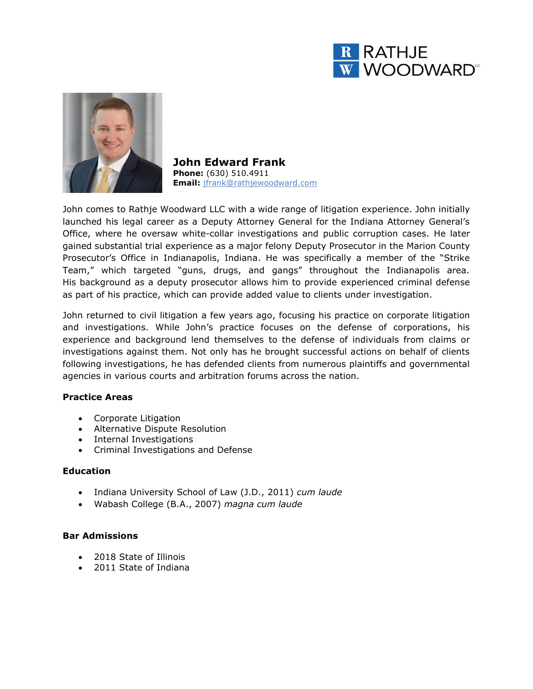



**John Edward Frank Phone:** (630) 510.4911 **Email:** jfrank@rathjewoodward.com

John comes to Rathje Woodward LLC with a wide range of litigation experience. John initially launched his legal career as a Deputy Attorney General for the Indiana Attorney General's Office, where he oversaw white-collar investigations and public corruption cases. He later gained substantial trial experience as a major felony Deputy Prosecutor in the Marion County Prosecutor's Office in Indianapolis, Indiana. He was specifically a member of the "Strike Team," which targeted "guns, drugs, and gangs" throughout the Indianapolis area. His background as a deputy prosecutor allows him to provide experienced criminal defense as part of his practice, which can provide added value to clients under investigation.

John returned to civil litigation a few years ago, focusing his practice on corporate litigation and investigations. While John's practice focuses on the defense of corporations, his experience and background lend themselves to the defense of individuals from claims or investigations against them. Not only has he brought successful actions on behalf of clients following investigations, he has defended clients from numerous plaintiffs and governmental agencies in various courts and arbitration forums across the nation.

# **Practice Areas**

- Corporate Litigation
- Alternative Dispute Resolution
- Internal Investigations
- Criminal Investigations and Defense

## **Education**

- Indiana University School of Law (J.D., 2011) *cum laude*
- Wabash College (B.A., 2007) *magna cum laude*

# **Bar Admissions**

- 2018 State of Illinois
- 2011 State of Indiana